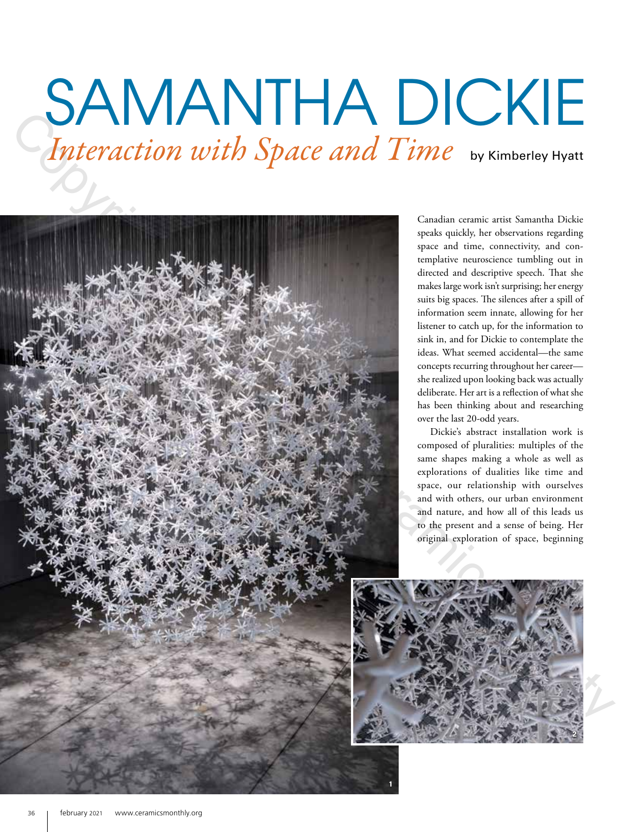# SAMANTHA DICKIE Interaction with Space and Time by Kimberley Hyatt



Canadian ceramic artist Samantha Dickie speaks quickly, her observations regarding space and time, connectivity, and contemplative neuroscience tumbling out in directed and descriptive speech. That she makes large work isn't surprising; her energy suits big spaces. The silences after a spill of information seem innate, allowing for her listener to catch up, for the information to sink in, and for Dickie to contemplate the ideas. What seemed accidental—the same concepts recurring throughout her career she realized upon looking back was actually deliberate. Her art is a reflection of what she has been thinking about and researching over the last 20-odd years.

Dickie's abstract installation work is composed of pluralities: multiples of the same shapes making a whole as well as explorations of dualities like time and space, our relationship with ourselves and with others, our urban environment and nature, and how all of this leads us to the present and a sense of being. Her original exploration of space, beginning

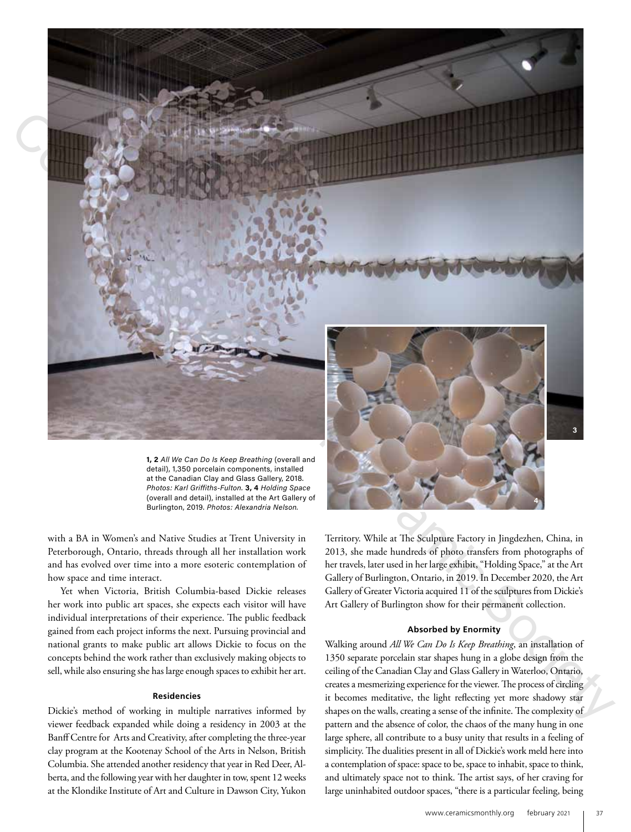

**1, 2** *All We Can Do Is Keep Breathing* (overall and detail), 1,350 porcelain components, installed at the Canadian Clay and Glass Gallery, 2018. *Photos: Karl Griffiths-Fulton.* **3, 4** *Holding Space*  (overall and detail), installed at the Art Gallery of Burlington, 2019. *Photos: Alexandria Nelson.*

with a BA in Women's and Native Studies at Trent University in Peterborough, Ontario, threads through all her installation work and has evolved over time into a more esoteric contemplation of how space and time interact.

Yet when Victoria, British Columbia-based Dickie releases her work into public art spaces, she expects each visitor will have individual interpretations of their experience. The public feedback gained from each project informs the next. Pursuing provincial and national grants to make public art allows Dickie to focus on the concepts behind the work rather than exclusively making objects to sell, while also ensuring she has large enough spaces to exhibit her art.

### **Residencies**

Dickie's method of working in multiple narratives informed by viewer feedback expanded while doing a residency in 2003 at the Banff Centre for Arts and Creativity, after completing the three-year clay program at the Kootenay School of the Arts in Nelson, British Columbia. She attended another residency that year in Red Deer, Alberta, and the following year with her daughter in tow, spent 12 weeks at the Klondike Institute of Art and Culture in Dawson City, Yukon



Territory. While at The Sculpture Factory in Jingdezhen, China, in 2013, she made hundreds of photo transfers from photographs of her travels, later used in her large exhibit, "Holding Space," at the Art Gallery of Burlington, Ontario, in 2019. In December 2020, the Art Gallery of Greater Victoria acquired 11 of the sculptures from Dickie's Art Gallery of Burlington show for their permanent collection.

# **Absorbed by Enormity**

Walking around *All We Can Do Is Keep Breathing*, an installation of 1350 separate porcelain star shapes hung in a globe design from the ceiling of the Canadian Clay and Glass Gallery in Waterloo, Ontario, creates a mesmerizing experience for the viewer. The process of circling it becomes meditative, the light reflecting yet more shadowy star shapes on the walls, creating a sense of the infinite. The complexity of pattern and the absence of color, the chaos of the many hung in one large sphere, all contribute to a busy unity that results in a feeling of simplicity. The dualities present in all of Dickie's work meld here into a contemplation of space: space to be, space to inhabit, space to think, and ultimately space not to think. The artist says, of her craving for large uninhabited outdoor spaces, "there is a particular feeling, being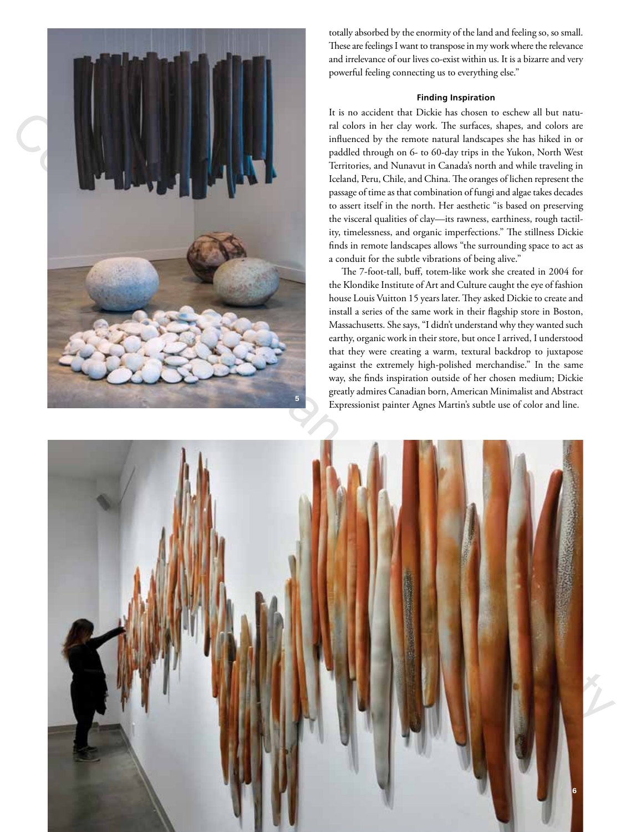

totally absorbed by the enormity of the land and feeling so, so small. These are feelings I want to transpose in my work where the relevance and irrelevance of our lives co-exist within us. It is a bizarre and very powerful feeling connecting us to everything else."

# **Finding Inspiration**

It is no accident that Dickie has chosen to eschew all but natural colors in her clay work. The surfaces, shapes, and colors are influenced by the remote natural landscapes she has hiked in or paddled through on 6- to 60-day trips in the Yukon, North West Territories, and Nunavut in Canada's north and while traveling in Iceland, Peru, Chile, and China. The oranges of lichen represent the passage of time as that combination of fungi and algae takes decades to assert itself in the north. Her aesthetic "is based on preserving the visceral qualities of clay—its rawness, earthiness, rough tactility, timelessness, and organic imperfections." The stillness Dickie finds in remote landscapes allows "the surrounding space to act as a conduit for the subtle vibrations of being alive."

The 7-foot-tall, buff, totem-like work she created in 2004 for the Klondike Institute of Art and Culture caught the eye of fashion house Louis Vuitton 15 years later. They asked Dickie to create and install a series of the same work in their flagship store in Boston, Massachusetts. She says, "I didn't understand why they wanted such earthy, organic work in their store, but once I arrived, I understood that they were creating a warm, textural backdrop to juxtapose against the extremely high-polished merchandise." In the same way, she finds inspiration outside of her chosen medium; Dickie greatly admires Canadian born, American Minimalist and Abstract Expressionist painter Agnes Martin's subtle use of color and line.